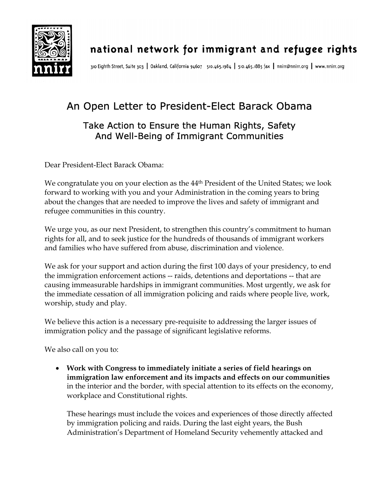

310 Eighth Street, Suite 303 | Oakland, California 94607 510.465.1984 | 510.465.1885 fax | nnirr@nnirr.org | www.nnirr.org

## An Open Letter to President-Elect Barack Obama Take Action to Ensure the Human Rights, Safety And Well-Being of Immigrant Communities

Dear President-Elect Barack Obama:

We congratulate you on your election as the 44<sup>th</sup> President of the United States; we look forward to working with you and your Administration in the coming years to bring about the changes that are needed to improve the lives and safety of immigrant and refugee communities in this country.

We urge you, as our next President, to strengthen this country's commitment to human rights for all, and to seek justice for the hundreds of thousands of immigrant workers and families who have suffered from abuse, discrimination and violence.

We ask for your support and action during the first 100 days of your presidency, to end the immigration enforcement actions -- raids, detentions and deportations -- that are causing immeasurable hardships in immigrant communities. Most urgently, we ask for the immediate cessation of all immigration policing and raids where people live, work, worship, study and play.

We believe this action is a necessary pre-requisite to addressing the larger issues of immigration policy and the passage of significant legislative reforms.

We also call on you to:

• **Work with Congress to immediately initiate a series of field hearings on immigration law enforcement and its impacts and effects on our communities**  in the interior and the border, with special attention to its effects on the economy, workplace and Constitutional rights.

These hearings must include the voices and experiences of those directly affected by immigration policing and raids. During the last eight years, the Bush Administration's Department of Homeland Security vehemently attacked and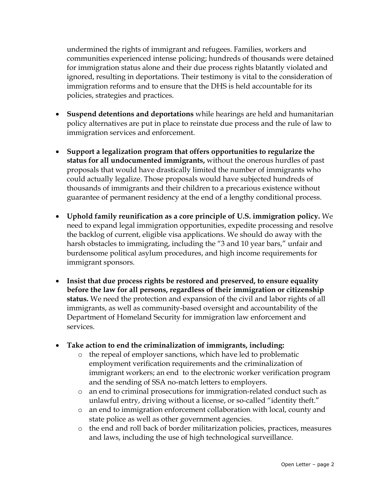undermined the rights of immigrant and refugees. Families, workers and communities experienced intense policing; hundreds of thousands were detained for immigration status alone and their due process rights blatantly violated and ignored, resulting in deportations. Their testimony is vital to the consideration of immigration reforms and to ensure that the DHS is held accountable for its policies, strategies and practices.

- **Suspend detentions and deportations** while hearings are held and humanitarian policy alternatives are put in place to reinstate due process and the rule of law to immigration services and enforcement.
- **Support a legalization program that offers opportunities to regularize the status for all undocumented immigrants,** without the onerous hurdles of past proposals that would have drastically limited the number of immigrants who could actually legalize. Those proposals would have subjected hundreds of thousands of immigrants and their children to a precarious existence without guarantee of permanent residency at the end of a lengthy conditional process.
- **Uphold family reunification as a core principle of U.S. immigration policy.** We need to expand legal immigration opportunities, expedite processing and resolve the backlog of current, eligible visa applications. We should do away with the harsh obstacles to immigrating, including the "3 and 10 year bars," unfair and burdensome political asylum procedures, and high income requirements for immigrant sponsors.
- **Insist that due process rights be restored and preserved, to ensure equality before the law for all persons, regardless of their immigration or citizenship status.** We need the protection and expansion of the civil and labor rights of all immigrants, as well as community-based oversight and accountability of the Department of Homeland Security for immigration law enforcement and services.
- **Take action to end the criminalization of immigrants, including:** 
	- o the repeal of employer sanctions, which have led to problematic employment verification requirements and the criminalization of immigrant workers; an end to the electronic worker verification program and the sending of SSA no-match letters to employers.
	- o an end to criminal prosecutions for immigration-related conduct such as unlawful entry, driving without a license, or so-called "identity theft."
	- o an end to immigration enforcement collaboration with local, county and state police as well as other government agencies.
	- o the end and roll back of border militarization policies, practices, measures and laws, including the use of high technological surveillance.